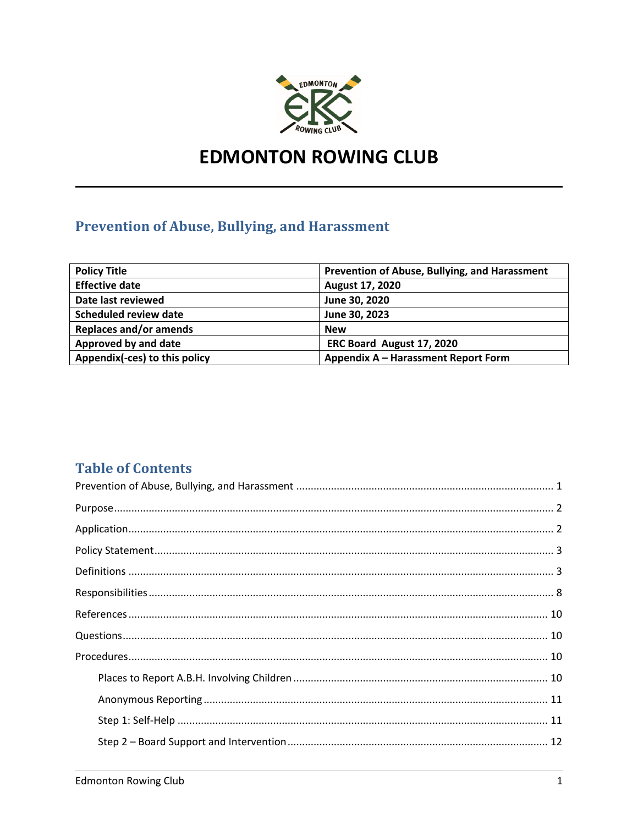

# **EDMONTON ROWING CLUB**

## **Prevention of Abuse, Bullying, and Harassment**

| <b>Policy Title</b>           | Prevention of Abuse, Bullying, and Harassment |
|-------------------------------|-----------------------------------------------|
| <b>Effective date</b>         | August 17, 2020                               |
| Date last reviewed            | June 30, 2020                                 |
| <b>Scheduled review date</b>  | June 30, 2023                                 |
| <b>Replaces and/or amends</b> | <b>New</b>                                    |
| Approved by and date          | ERC Board August 17, 2020                     |
| Appendix(-ces) to this policy | Appendix A - Harassment Report Form           |

## **Table of Contents**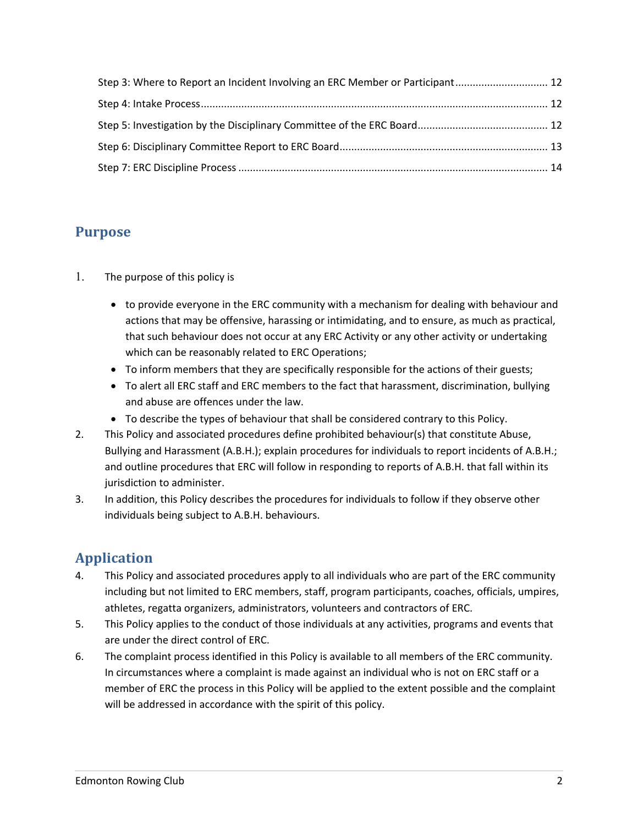| Step 3: Where to Report an Incident Involving an ERC Member or Participant 12 |  |
|-------------------------------------------------------------------------------|--|
|                                                                               |  |
|                                                                               |  |
|                                                                               |  |
|                                                                               |  |

## **Purpose**

- 1. The purpose of this policy is
	- to provide everyone in the ERC community with a mechanism for dealing with behaviour and actions that may be offensive, harassing or intimidating, and to ensure, as much as practical, that such behaviour does not occur at any ERC Activity or any other activity or undertaking which can be reasonably related to ERC Operations;
	- To inform members that they are specifically responsible for the actions of their guests;
	- To alert all ERC staff and ERC members to the fact that harassment, discrimination, bullying and abuse are offences under the law.
	- To describe the types of behaviour that shall be considered contrary to this Policy.
- 2. This Policy and associated procedures define prohibited behaviour(s) that constitute Abuse, Bullying and Harassment (A.B.H.); explain procedures for individuals to report incidents of A.B.H.; and outline procedures that ERC will follow in responding to reports of A.B.H. that fall within its jurisdiction to administer.
- 3. In addition, this Policy describes the procedures for individuals to follow if they observe other individuals being subject to A.B.H. behaviours.

## **Application**

- 4. This Policy and associated procedures apply to all individuals who are part of the ERC community including but not limited to ERC members, staff, program participants, coaches, officials, umpires, athletes, regatta organizers, administrators, volunteers and contractors of ERC.
- 5. This Policy applies to the conduct of those individuals at any activities, programs and events that are under the direct control of ERC.
- 6. The complaint process identified in this Policy is available to all members of the ERC community. In circumstances where a complaint is made against an individual who is not on ERC staff or a member of ERC the process in this Policy will be applied to the extent possible and the complaint will be addressed in accordance with the spirit of this policy.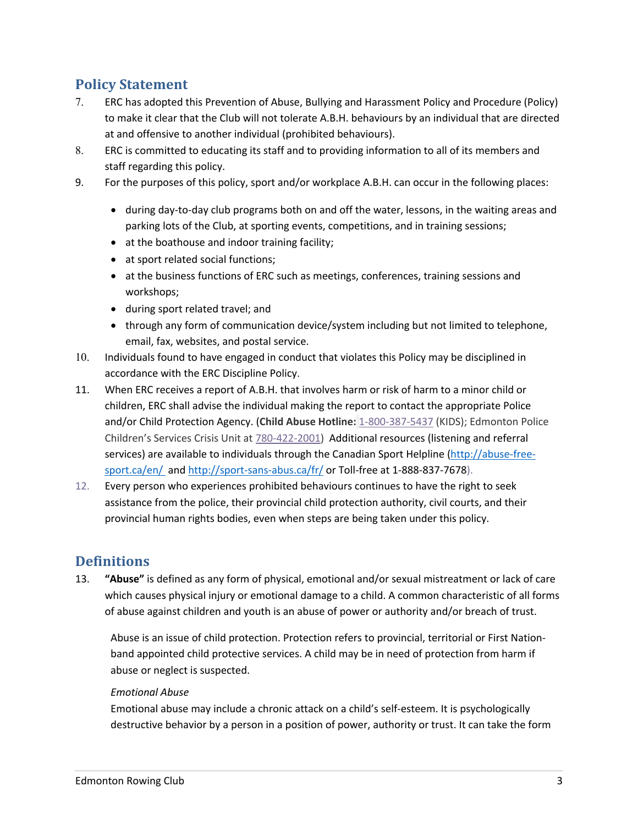## **Policy Statement**

- 7. ERC has adopted this Prevention of Abuse, Bullying and Harassment Policy and Procedure (Policy) to make it clear that the Club will not tolerate A.B.H. behaviours by an individual that are directed at and offensive to another individual (prohibited behaviours).
- 8. ERC is committed to educating its staff and to providing information to all of its members and staff regarding this policy.
- 9. For the purposes of this policy, sport and/or workplace A.B.H. can occur in the following places:
	- during day-to-day club programs both on and off the water, lessons, in the waiting areas and parking lots of the Club, at sporting events, competitions, and in training sessions;
	- at the boathouse and indoor training facility;
	- at sport related social functions;
	- at the business functions of ERC such as meetings, conferences, training sessions and workshops;
	- during sport related travel; and
	- through any form of communication device/system including but not limited to telephone, email, fax, websites, and postal service.
- 10. Individuals found to have engaged in conduct that violates this Policy may be disciplined in accordance with the ERC Discipline Policy.
- 11. When ERC receives a report of A.B.H. that involves harm or risk of harm to a minor child or children, ERC shall advise the individual making the report to contact the appropriate Police and/or Child Protection Agency. (**Child Abuse Hotline:** 1-800-387-5437 (KIDS); Edmonton Police Children's Services Crisis Unit at 780-422-2001) Additional resources (listening and referral services) are available to individuals through the Canadian Sport Helpline (http://abuse-freesport.ca/en/ and http://sport-sans-abus.ca/fr/ or Toll-free at 1-888-837-7678).
- 12. Every person who experiences prohibited behaviours continues to have the right to seek assistance from the police, their provincial child protection authority, civil courts, and their provincial human rights bodies, even when steps are being taken under this policy.

## **Definitions**

13. **"Abuse"** is defined as any form of physical, emotional and/or sexual mistreatment or lack of care which causes physical injury or emotional damage to a child. A common characteristic of all forms of abuse against children and youth is an abuse of power or authority and/or breach of trust.

Abuse is an issue of child protection. Protection refers to provincial, territorial or First Nationband appointed child protective services. A child may be in need of protection from harm if abuse or neglect is suspected.

#### *Emotional Abuse*

Emotional abuse may include a chronic attack on a child's self-esteem. It is psychologically destructive behavior by a person in a position of power, authority or trust. It can take the form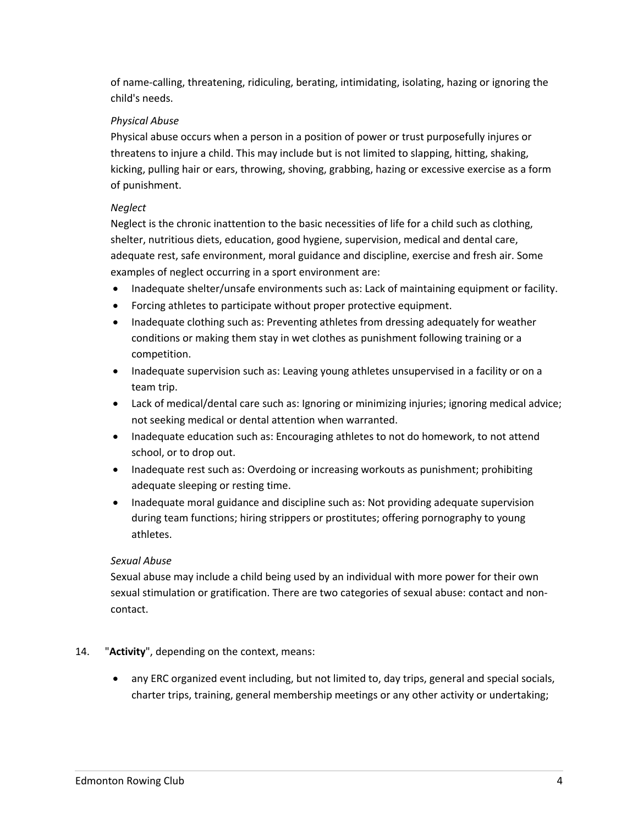of name-calling, threatening, ridiculing, berating, intimidating, isolating, hazing or ignoring the child's needs.

#### *Physical Abuse*

Physical abuse occurs when a person in a position of power or trust purposefully injures or threatens to injure a child. This may include but is not limited to slapping, hitting, shaking, kicking, pulling hair or ears, throwing, shoving, grabbing, hazing or excessive exercise as a form of punishment.

#### *Neglect*

Neglect is the chronic inattention to the basic necessities of life for a child such as clothing, shelter, nutritious diets, education, good hygiene, supervision, medical and dental care, adequate rest, safe environment, moral guidance and discipline, exercise and fresh air. Some examples of neglect occurring in a sport environment are:

- Inadequate shelter/unsafe environments such as: Lack of maintaining equipment or facility.
- Forcing athletes to participate without proper protective equipment.
- Inadequate clothing such as: Preventing athletes from dressing adequately for weather conditions or making them stay in wet clothes as punishment following training or a competition.
- Inadequate supervision such as: Leaving young athletes unsupervised in a facility or on a team trip.
- Lack of medical/dental care such as: Ignoring or minimizing injuries; ignoring medical advice; not seeking medical or dental attention when warranted.
- Inadequate education such as: Encouraging athletes to not do homework, to not attend school, or to drop out.
- Inadequate rest such as: Overdoing or increasing workouts as punishment; prohibiting adequate sleeping or resting time.
- Inadequate moral guidance and discipline such as: Not providing adequate supervision during team functions; hiring strippers or prostitutes; offering pornography to young athletes.

#### *Sexual Abuse*

Sexual abuse may include a child being used by an individual with more power for their own sexual stimulation or gratification. There are two categories of sexual abuse: contact and noncontact.

### 14. "**Activity**", depending on the context, means:

• any ERC organized event including, but not limited to, day trips, general and special socials, charter trips, training, general membership meetings or any other activity or undertaking;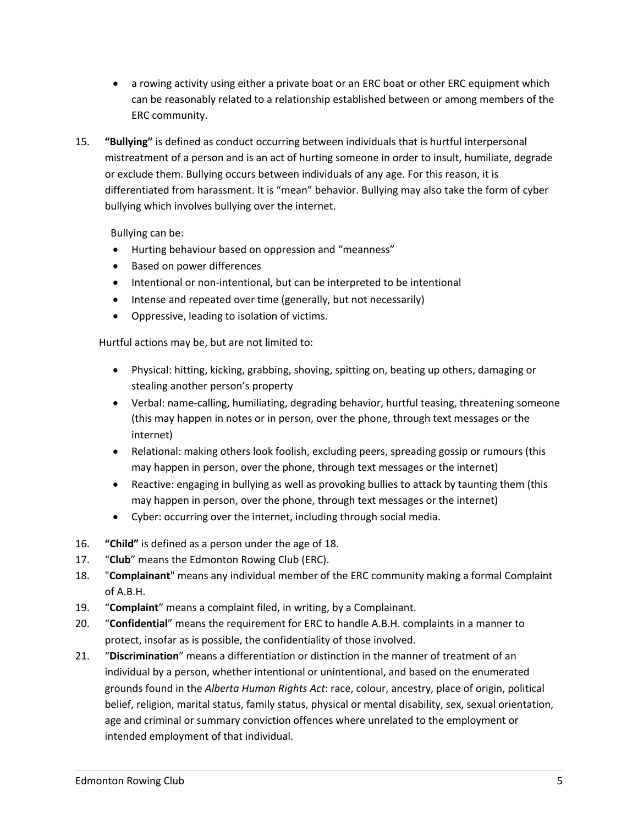- a rowing activity using either a private boat or an ERC boat or other ERC equipment which can be reasonably related to a relationship established between or among members of the ERC community.
- 15. **"Bullying"** is defined as conduct occurring between individuals that is hurtful interpersonal mistreatment of a person and is an act of hurting someone in order to insult, humiliate, degrade or exclude them. Bullying occurs between individuals of any age. For this reason, it is differentiated from harassment. It is "mean" behavior. Bullying may also take the form of cyber bullying which involves bullying over the internet.

Bullying can be:

- Hurting behaviour based on oppression and "meanness"
- Based on power differences
- Intentional or non-intentional, but can be interpreted to be intentional
- Intense and repeated over time (generally, but not necessarily)
- Oppressive, leading to isolation of victims.

Hurtful actions may be, but are not limited to:

- Physical: hitting, kicking, grabbing, shoving, spitting on, beating up others, damaging or stealing another person's property
- Verbal: name-calling, humiliating, degrading behavior, hurtful teasing, threatening someone (this may happen in notes or in person, over the phone, through text messages or the internet)
- Relational: making others look foolish, excluding peers, spreading gossip or rumours (this may happen in person, over the phone, through text messages or the internet)
- Reactive: engaging in bullying as well as provoking bullies to attack by taunting them (this may happen in person, over the phone, through text messages or the internet)
- Cyber: occurring over the internet, including through social media.
- 16. **"Child"** is defined as a person under the age of 18.
- 17. "**Club**" means the Edmonton Rowing Club (ERC).
- 18. "**Complainant**" means any individual member of the ERC community making a formal Complaint of A.B.H.
- 19. "**Complaint**" means a complaint filed, in writing, by a Complainant.
- 20. "**Confidential**" means the requirement for ERC to handle A.B.H. complaints in a manner to protect, insofar as is possible, the confidentiality of those involved.
- 21. "**Discrimination**" means a differentiation or distinction in the manner of treatment of an individual by a person, whether intentional or unintentional, and based on the enumerated grounds found in the *Alberta Human Rights Act*: race, colour, ancestry, place of origin, political belief, religion, marital status, family status, physical or mental disability, sex, sexual orientation, age and criminal or summary conviction offences where unrelated to the employment or intended employment of that individual.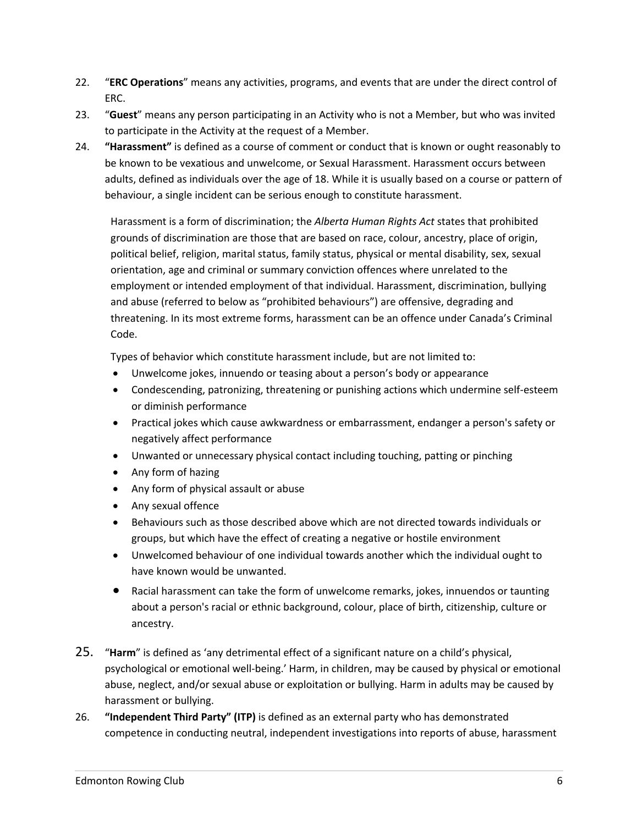- 22. "**ERC Operations**" means any activities, programs, and events that are under the direct control of ERC.
- 23. "**Guest**" means any person participating in an Activity who is not a Member, but who was invited to participate in the Activity at the request of a Member.
- 24. **"Harassment"** is defined as a course of comment or conduct that is known or ought reasonably to be known to be vexatious and unwelcome, or Sexual Harassment. Harassment occurs between adults, defined as individuals over the age of 18. While it is usually based on a course or pattern of behaviour, a single incident can be serious enough to constitute harassment.

Harassment is a form of discrimination; the *Alberta Human Rights Act* states that prohibited grounds of discrimination are those that are based on race, colour, ancestry, place of origin, political belief, religion, marital status, family status, physical or mental disability, sex, sexual orientation, age and criminal or summary conviction offences where unrelated to the employment or intended employment of that individual. Harassment, discrimination, bullying and abuse (referred to below as "prohibited behaviours") are offensive, degrading and threatening. In its most extreme forms, harassment can be an offence under Canada's Criminal Code.

Types of behavior which constitute harassment include, but are not limited to:

- Unwelcome jokes, innuendo or teasing about a person's body or appearance
- Condescending, patronizing, threatening or punishing actions which undermine self-esteem or diminish performance
- Practical jokes which cause awkwardness or embarrassment, endanger a person's safety or negatively affect performance
- Unwanted or unnecessary physical contact including touching, patting or pinching
- Any form of hazing
- Any form of physical assault or abuse
- Any sexual offence
- Behaviours such as those described above which are not directed towards individuals or groups, but which have the effect of creating a negative or hostile environment
- Unwelcomed behaviour of one individual towards another which the individual ought to have known would be unwanted.
- Racial harassment can take the form of unwelcome remarks, jokes, innuendos or taunting about a person's racial or ethnic background, colour, place of birth, citizenship, culture or ancestry.
- 25. "**Harm**" is defined as 'any detrimental effect of a significant nature on a child's physical, psychological or emotional well-being.' Harm, in children, may be caused by physical or emotional abuse, neglect, and/or sexual abuse or exploitation or bullying. Harm in adults may be caused by harassment or bullying.
- 26. **"Independent Third Party" (ITP)** is defined as an external party who has demonstrated competence in conducting neutral, independent investigations into reports of abuse, harassment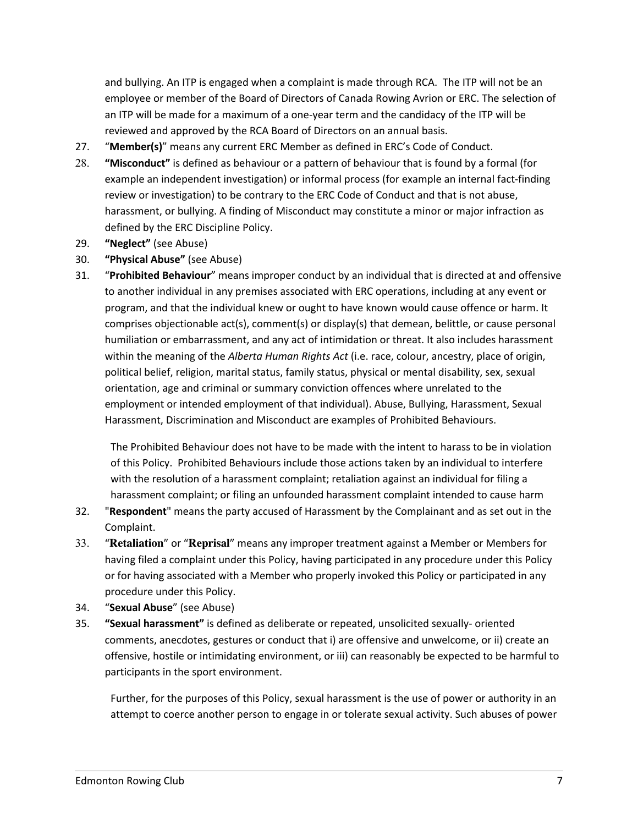and bullying. An ITP is engaged when a complaint is made through RCA. The ITP will not be an employee or member of the Board of Directors of Canada Rowing Avrion or ERC. The selection of an ITP will be made for a maximum of a one-year term and the candidacy of the ITP will be reviewed and approved by the RCA Board of Directors on an annual basis.

- 27. "**Member(s)**" means any current ERC Member as defined in ERC's Code of Conduct.
- 28. **"Misconduct"** is defined as behaviour or a pattern of behaviour that is found by a formal (for example an independent investigation) or informal process (for example an internal fact-finding review or investigation) to be contrary to the ERC Code of Conduct and that is not abuse, harassment, or bullying. A finding of Misconduct may constitute a minor or major infraction as defined by the ERC Discipline Policy.
- 29. **"Neglect"** (see Abuse)
- 30. **"Physical Abuse"** (see Abuse)
- 31. "**Prohibited Behaviour**" means improper conduct by an individual that is directed at and offensive to another individual in any premises associated with ERC operations, including at any event or program, and that the individual knew or ought to have known would cause offence or harm. It comprises objectionable act(s), comment(s) or display(s) that demean, belittle, or cause personal humiliation or embarrassment, and any act of intimidation or threat. It also includes harassment within the meaning of the *Alberta Human Rights Act* (i.e. race, colour, ancestry, place of origin, political belief, religion, marital status, family status, physical or mental disability, sex, sexual orientation, age and criminal or summary conviction offences where unrelated to the employment or intended employment of that individual). Abuse, Bullying, Harassment, Sexual Harassment, Discrimination and Misconduct are examples of Prohibited Behaviours.

The Prohibited Behaviour does not have to be made with the intent to harass to be in violation of this Policy. Prohibited Behaviours include those actions taken by an individual to interfere with the resolution of a harassment complaint; retaliation against an individual for filing a harassment complaint; or filing an unfounded harassment complaint intended to cause harm

- 32. "**Respondent**" means the party accused of Harassment by the Complainant and as set out in the Complaint.
- 33. "**Retaliation**" or "**Reprisal**" means any improper treatment against a Member or Members for having filed a complaint under this Policy, having participated in any procedure under this Policy or for having associated with a Member who properly invoked this Policy or participated in any procedure under this Policy.
- 34. "**Sexual Abuse**" (see Abuse)
- 35. **"Sexual harassment"** is defined as deliberate or repeated, unsolicited sexually- oriented comments, anecdotes, gestures or conduct that i) are offensive and unwelcome, or ii) create an offensive, hostile or intimidating environment, or iii) can reasonably be expected to be harmful to participants in the sport environment.

Further, for the purposes of this Policy, sexual harassment is the use of power or authority in an attempt to coerce another person to engage in or tolerate sexual activity. Such abuses of power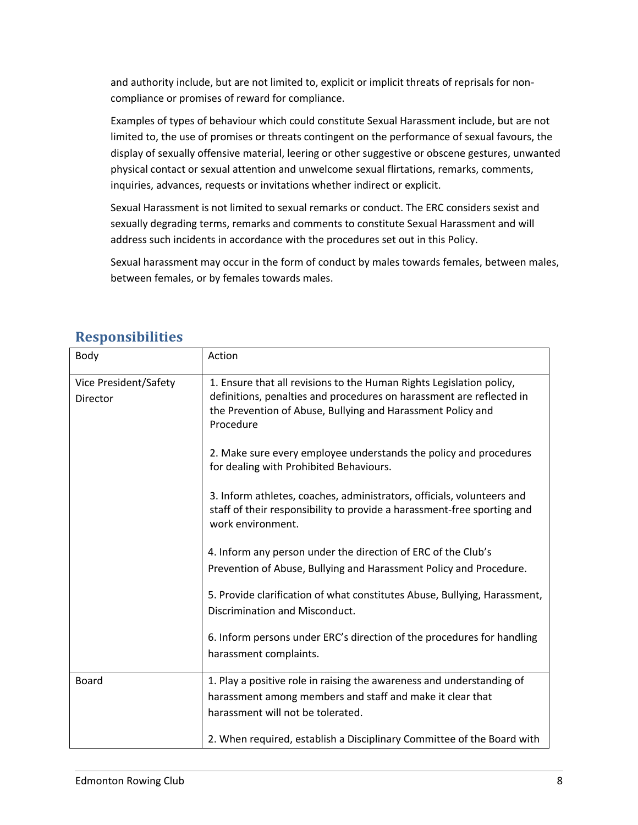and authority include, but are not limited to, explicit or implicit threats of reprisals for noncompliance or promises of reward for compliance.

Examples of types of behaviour which could constitute Sexual Harassment include, but are not limited to, the use of promises or threats contingent on the performance of sexual favours, the display of sexually offensive material, leering or other suggestive or obscene gestures, unwanted physical contact or sexual attention and unwelcome sexual flirtations, remarks, comments, inquiries, advances, requests or invitations whether indirect or explicit.

Sexual Harassment is not limited to sexual remarks or conduct. The ERC considers sexist and sexually degrading terms, remarks and comments to constitute Sexual Harassment and will address such incidents in accordance with the procedures set out in this Policy.

Sexual harassment may occur in the form of conduct by males towards females, between males, between females, or by females towards males.

| Body                              | Action                                                                                                                                                                                                                   |
|-----------------------------------|--------------------------------------------------------------------------------------------------------------------------------------------------------------------------------------------------------------------------|
| Vice President/Safety<br>Director | 1. Ensure that all revisions to the Human Rights Legislation policy,<br>definitions, penalties and procedures on harassment are reflected in<br>the Prevention of Abuse, Bullying and Harassment Policy and<br>Procedure |
|                                   | 2. Make sure every employee understands the policy and procedures<br>for dealing with Prohibited Behaviours.                                                                                                             |
|                                   | 3. Inform athletes, coaches, administrators, officials, volunteers and<br>staff of their responsibility to provide a harassment-free sporting and<br>work environment.                                                   |
|                                   | 4. Inform any person under the direction of ERC of the Club's<br>Prevention of Abuse, Bullying and Harassment Policy and Procedure.                                                                                      |
|                                   | 5. Provide clarification of what constitutes Abuse, Bullying, Harassment,<br>Discrimination and Misconduct.                                                                                                              |
|                                   | 6. Inform persons under ERC's direction of the procedures for handling<br>harassment complaints.                                                                                                                         |
| <b>Board</b>                      | 1. Play a positive role in raising the awareness and understanding of<br>harassment among members and staff and make it clear that<br>harassment will not be tolerated.                                                  |
|                                   | 2. When required, establish a Disciplinary Committee of the Board with                                                                                                                                                   |

## **Responsibilities**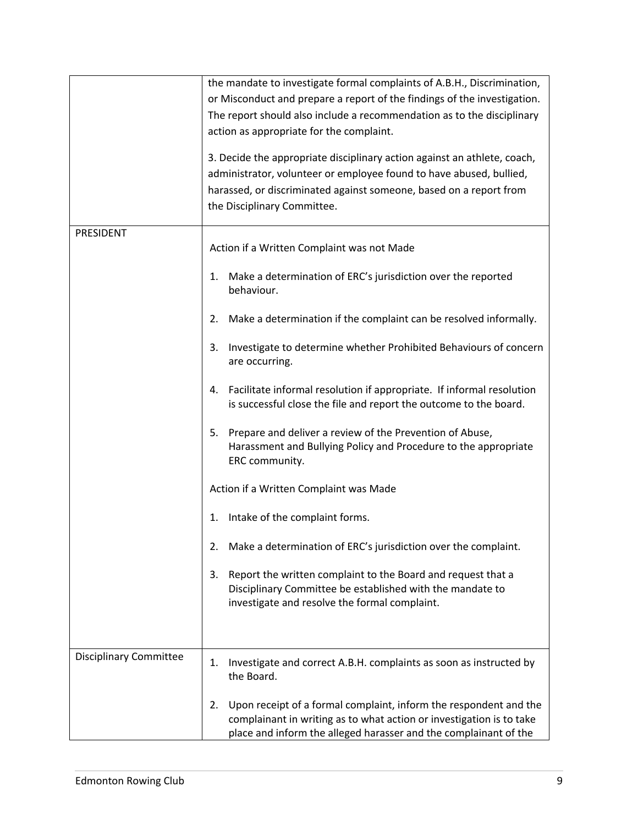|                               | the mandate to investigate formal complaints of A.B.H., Discrimination,<br>or Misconduct and prepare a report of the findings of the investigation.<br>The report should also include a recommendation as to the disciplinary<br>action as appropriate for the complaint.<br>3. Decide the appropriate disciplinary action against an athlete, coach,<br>administrator, volunteer or employee found to have abused, bullied,<br>harassed, or discriminated against someone, based on a report from<br>the Disciplinary Committee. |
|-------------------------------|-----------------------------------------------------------------------------------------------------------------------------------------------------------------------------------------------------------------------------------------------------------------------------------------------------------------------------------------------------------------------------------------------------------------------------------------------------------------------------------------------------------------------------------|
| PRESIDENT                     | Action if a Written Complaint was not Made                                                                                                                                                                                                                                                                                                                                                                                                                                                                                        |
|                               | Make a determination of ERC's jurisdiction over the reported<br>1.<br>behaviour.                                                                                                                                                                                                                                                                                                                                                                                                                                                  |
|                               | Make a determination if the complaint can be resolved informally.<br>2.                                                                                                                                                                                                                                                                                                                                                                                                                                                           |
|                               | Investigate to determine whether Prohibited Behaviours of concern<br>3.<br>are occurring.                                                                                                                                                                                                                                                                                                                                                                                                                                         |
|                               | Facilitate informal resolution if appropriate. If informal resolution<br>4.<br>is successful close the file and report the outcome to the board.                                                                                                                                                                                                                                                                                                                                                                                  |
|                               | 5.<br>Prepare and deliver a review of the Prevention of Abuse,<br>Harassment and Bullying Policy and Procedure to the appropriate<br>ERC community.                                                                                                                                                                                                                                                                                                                                                                               |
|                               | Action if a Written Complaint was Made                                                                                                                                                                                                                                                                                                                                                                                                                                                                                            |
|                               | Intake of the complaint forms.<br>1.                                                                                                                                                                                                                                                                                                                                                                                                                                                                                              |
|                               | Make a determination of ERC's jurisdiction over the complaint.<br>2.                                                                                                                                                                                                                                                                                                                                                                                                                                                              |
|                               | 3.<br>Report the written complaint to the Board and request that a<br>Disciplinary Committee be established with the mandate to<br>investigate and resolve the formal complaint.                                                                                                                                                                                                                                                                                                                                                  |
|                               |                                                                                                                                                                                                                                                                                                                                                                                                                                                                                                                                   |
| <b>Disciplinary Committee</b> | Investigate and correct A.B.H. complaints as soon as instructed by<br>1.<br>the Board.                                                                                                                                                                                                                                                                                                                                                                                                                                            |
|                               | Upon receipt of a formal complaint, inform the respondent and the<br>2.<br>complainant in writing as to what action or investigation is to take<br>place and inform the alleged harasser and the complainant of the                                                                                                                                                                                                                                                                                                               |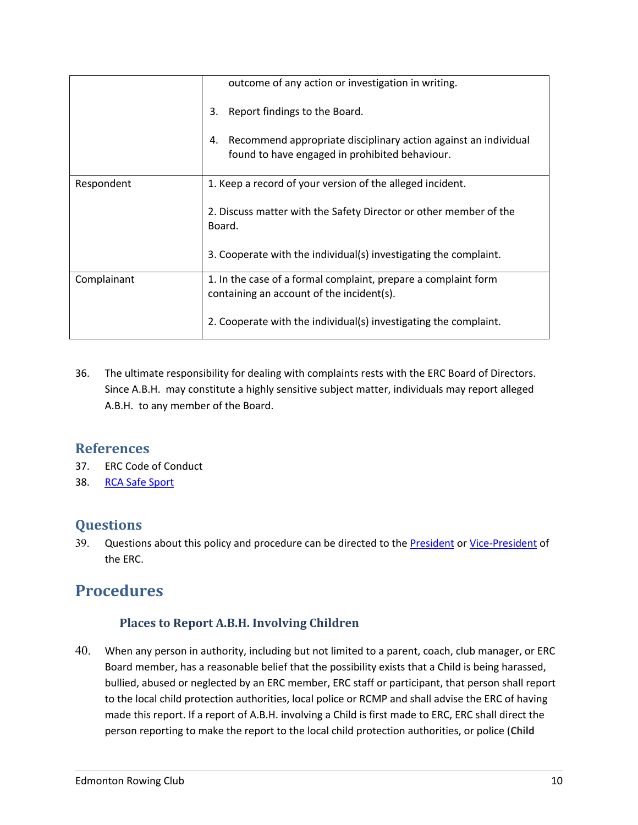|             | outcome of any action or investigation in writing.                                                                      |
|-------------|-------------------------------------------------------------------------------------------------------------------------|
|             | Report findings to the Board.<br>3.                                                                                     |
|             | Recommend appropriate disciplinary action against an individual<br>4.<br>found to have engaged in prohibited behaviour. |
| Respondent  | 1. Keep a record of your version of the alleged incident.                                                               |
|             | 2. Discuss matter with the Safety Director or other member of the<br>Board.                                             |
|             | 3. Cooperate with the individual(s) investigating the complaint.                                                        |
| Complainant | 1. In the case of a formal complaint, prepare a complaint form<br>containing an account of the incident(s).             |
|             | 2. Cooperate with the individual(s) investigating the complaint.                                                        |

36. The ultimate responsibility for dealing with complaints rests with the ERC Board of Directors. Since A.B.H. may constitute a highly sensitive subject matter, individuals may report alleged A.B.H. to any member of the Board.

## **References**

- 37. ERC Code of Conduct
- 38. RCA Safe Sport

## **Questions**

39. Questions about this policy and procedure can be directed to the **President or Vice-President of** the ERC.

## **Procedures**

### **Places to Report A.B.H. Involving Children**

40. When any person in authority, including but not limited to a parent, coach, club manager, or ERC Board member, has a reasonable belief that the possibility exists that a Child is being harassed, bullied, abused or neglected by an ERC member, ERC staff or participant, that person shall report to the local child protection authorities, local police or RCMP and shall advise the ERC of having made this report. If a report of A.B.H. involving a Child is first made to ERC, ERC shall direct the person reporting to make the report to the local child protection authorities, or police (**Child**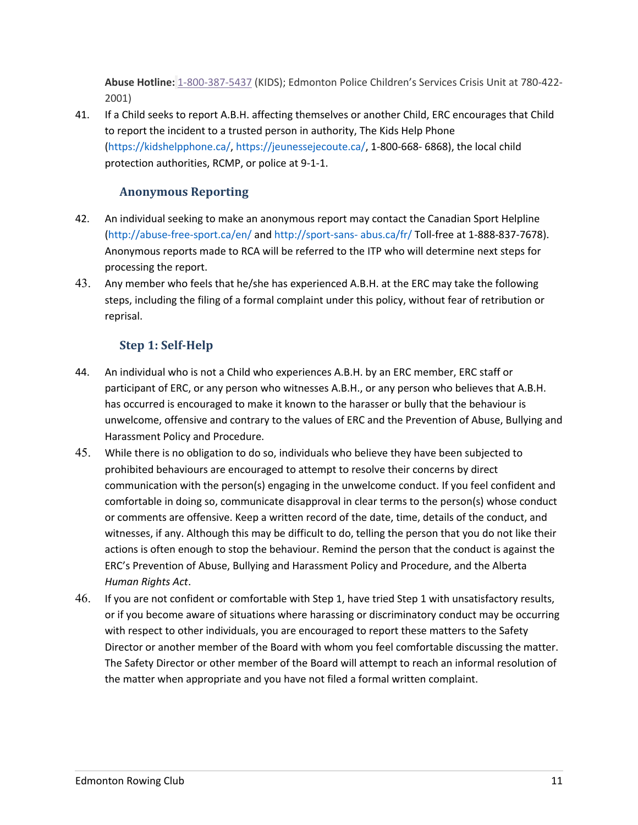**Abuse Hotline:** 1-800-387-5437 (KIDS); Edmonton Police Children's Services Crisis Unit at 780-422- 2001)

41. If a Child seeks to report A.B.H. affecting themselves or another Child, ERC encourages that Child to report the incident to a trusted person in authority, The Kids Help Phone (https://kidshelpphone.ca/, https://jeunessejecoute.ca/, 1-800-668- 6868), the local child protection authorities, RCMP, or police at 9-1-1.

## **Anonymous Reporting**

- 42. An individual seeking to make an anonymous report may contact the Canadian Sport Helpline (http://abuse-free-sport.ca/en/ and http://sport-sans- abus.ca/fr/ Toll-free at 1-888-837-7678). Anonymous reports made to RCA will be referred to the ITP who will determine next steps for processing the report.
- 43. Any member who feels that he/she has experienced A.B.H. at the ERC may take the following steps, including the filing of a formal complaint under this policy, without fear of retribution or reprisal.

## **Step 1: Self-Help**

- 44. An individual who is not a Child who experiences A.B.H. by an ERC member, ERC staff or participant of ERC, or any person who witnesses A.B.H., or any person who believes that A.B.H. has occurred is encouraged to make it known to the harasser or bully that the behaviour is unwelcome, offensive and contrary to the values of ERC and the Prevention of Abuse, Bullying and Harassment Policy and Procedure.
- 45. While there is no obligation to do so, individuals who believe they have been subjected to prohibited behaviours are encouraged to attempt to resolve their concerns by direct communication with the person(s) engaging in the unwelcome conduct. If you feel confident and comfortable in doing so, communicate disapproval in clear terms to the person(s) whose conduct or comments are offensive. Keep a written record of the date, time, details of the conduct, and witnesses, if any. Although this may be difficult to do, telling the person that you do not like their actions is often enough to stop the behaviour. Remind the person that the conduct is against the ERC's Prevention of Abuse, Bullying and Harassment Policy and Procedure, and the Alberta *Human Rights Act*.
- 46. If you are not confident or comfortable with Step 1, have tried Step 1 with unsatisfactory results, or if you become aware of situations where harassing or discriminatory conduct may be occurring with respect to other individuals, you are encouraged to report these matters to the Safety Director or another member of the Board with whom you feel comfortable discussing the matter. The Safety Director or other member of the Board will attempt to reach an informal resolution of the matter when appropriate and you have not filed a formal written complaint.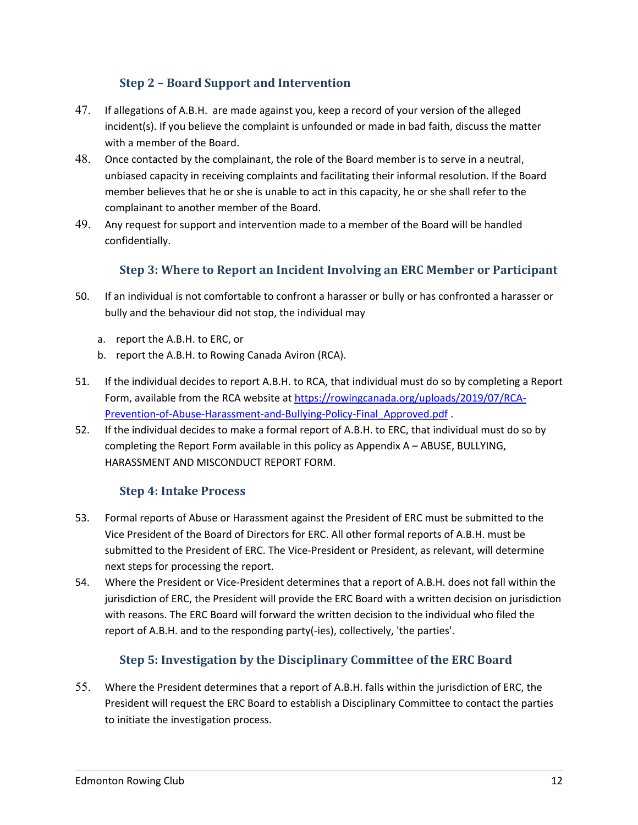## **Step 2 - Board Support and Intervention**

- 47. If allegations of A.B.H. are made against you, keep a record of your version of the alleged incident(s). If you believe the complaint is unfounded or made in bad faith, discuss the matter with a member of the Board.
- 48. Once contacted by the complainant, the role of the Board member is to serve in a neutral, unbiased capacity in receiving complaints and facilitating their informal resolution. If the Board member believes that he or she is unable to act in this capacity, he or she shall refer to the complainant to another member of the Board.
- 49. Any request for support and intervention made to a member of the Board will be handled confidentially.

## **Step 3: Where to Report an Incident Involving an ERC Member or Participant**

- 50. If an individual is not comfortable to confront a harasser or bully or has confronted a harasser or bully and the behaviour did not stop, the individual may
	- a. report the A.B.H. to ERC, or
	- b. report the A.B.H. to Rowing Canada Aviron (RCA).
- 51. If the individual decides to report A.B.H. to RCA, that individual must do so by completing a Report Form, available from the RCA website at https://rowingcanada.org/uploads/2019/07/RCA-Prevention-of-Abuse-Harassment-and-Bullying-Policy-Final\_Approved.pdf .
- 52. If the individual decides to make a formal report of A.B.H. to ERC, that individual must do so by completing the Report Form available in this policy as Appendix A – ABUSE, BULLYING, HARASSMENT AND MISCONDUCT REPORT FORM.

### **Step 4: Intake Process**

- 53. Formal reports of Abuse or Harassment against the President of ERC must be submitted to the Vice President of the Board of Directors for ERC. All other formal reports of A.B.H. must be submitted to the President of ERC. The Vice-President or President, as relevant, will determine next steps for processing the report.
- 54. Where the President or Vice-President determines that a report of A.B.H. does not fall within the jurisdiction of ERC, the President will provide the ERC Board with a written decision on jurisdiction with reasons. The ERC Board will forward the written decision to the individual who filed the report of A.B.H. and to the responding party(-ies), collectively, 'the parties'.

### **Step 5: Investigation by the Disciplinary Committee of the ERC Board**

55. Where the President determines that a report of A.B.H. falls within the jurisdiction of ERC, the President will request the ERC Board to establish a Disciplinary Committee to contact the parties to initiate the investigation process.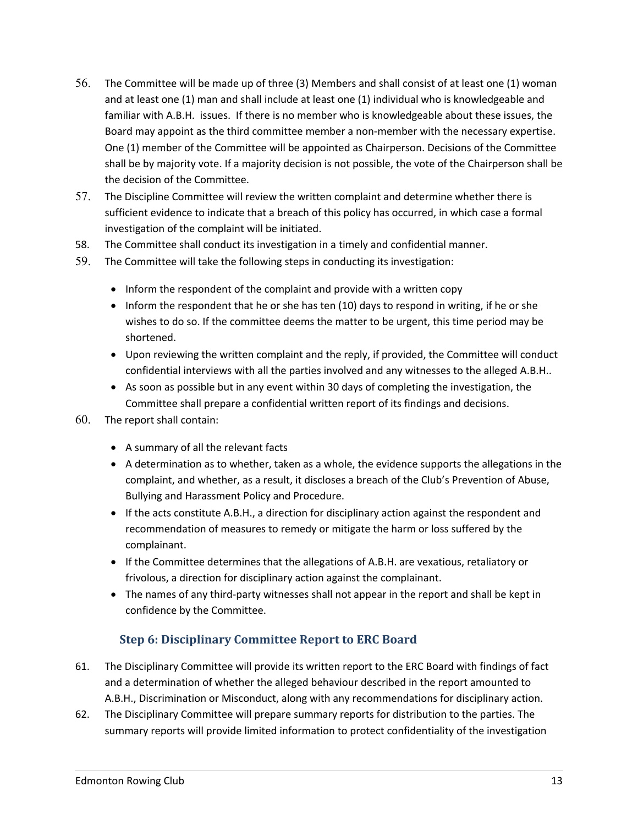- 56. The Committee will be made up of three (3) Members and shall consist of at least one (1) woman and at least one (1) man and shall include at least one (1) individual who is knowledgeable and familiar with A.B.H. issues. If there is no member who is knowledgeable about these issues, the Board may appoint as the third committee member a non-member with the necessary expertise. One (1) member of the Committee will be appointed as Chairperson. Decisions of the Committee shall be by majority vote. If a majority decision is not possible, the vote of the Chairperson shall be the decision of the Committee.
- 57. The Discipline Committee will review the written complaint and determine whether there is sufficient evidence to indicate that a breach of this policy has occurred, in which case a formal investigation of the complaint will be initiated.
- 58. The Committee shall conduct its investigation in a timely and confidential manner.
- 59. The Committee will take the following steps in conducting its investigation:
	- Inform the respondent of the complaint and provide with a written copy
	- Inform the respondent that he or she has ten (10) days to respond in writing, if he or she wishes to do so. If the committee deems the matter to be urgent, this time period may be shortened.
	- Upon reviewing the written complaint and the reply, if provided, the Committee will conduct confidential interviews with all the parties involved and any witnesses to the alleged A.B.H..
	- As soon as possible but in any event within 30 days of completing the investigation, the Committee shall prepare a confidential written report of its findings and decisions.
- 60. The report shall contain:
	- A summary of all the relevant facts
	- A determination as to whether, taken as a whole, the evidence supports the allegations in the complaint, and whether, as a result, it discloses a breach of the Club's Prevention of Abuse, Bullying and Harassment Policy and Procedure.
	- If the acts constitute A.B.H., a direction for disciplinary action against the respondent and recommendation of measures to remedy or mitigate the harm or loss suffered by the complainant.
	- If the Committee determines that the allegations of A.B.H. are vexatious, retaliatory or frivolous, a direction for disciplinary action against the complainant.
	- The names of any third-party witnesses shall not appear in the report and shall be kept in confidence by the Committee.

### **Step 6: Disciplinary Committee Report to ERC Board**

- 61. The Disciplinary Committee will provide its written report to the ERC Board with findings of fact and a determination of whether the alleged behaviour described in the report amounted to A.B.H., Discrimination or Misconduct, along with any recommendations for disciplinary action.
- 62. The Disciplinary Committee will prepare summary reports for distribution to the parties. The summary reports will provide limited information to protect confidentiality of the investigation